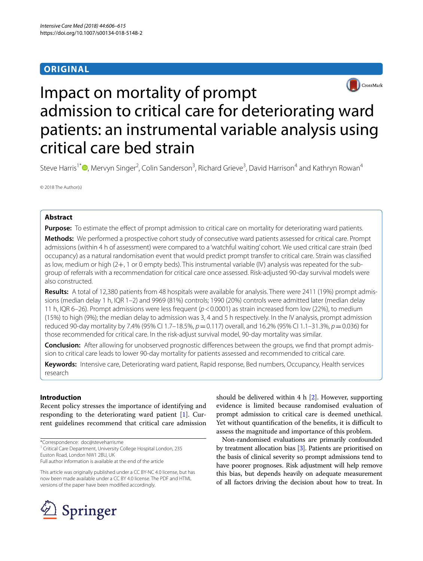# **ORIGINAL**



# Impact on mortality of prompt admission to critical care for deteriorating ward patients: an instrumental variable analysis using critical care bed strain

Steve Harris<sup>1\*</sup><sup>®</sup>[,](http://orcid.org/0000-0002-4982-1374) Mervyn Singer<sup>2</sup>, Colin Sanderson<sup>3</sup>, Richard Grieve<sup>3</sup>, David Harrison<sup>4</sup> and Kathryn Rowan<sup>4</sup>

© 2018 The Author(s)

# **Abstract**

**Purpose:** To estimate the effect of prompt admission to critical care on mortality for deteriorating ward patients.

**Methods:** We performed a prospective cohort study of consecutive ward patients assessed for critical care. Prompt admissions (within 4 h of assessment) were compared to a 'watchful waiting' cohort. We used critical care strain (bed occupancy) as a natural randomisation event that would predict prompt transfer to critical care. Strain was classifed as low, medium or high (2+, 1 or 0 empty beds). This instrumental variable (IV) analysis was repeated for the subgroup of referrals with a recommendation for critical care once assessed. Risk-adjusted 90-day survival models were also constructed.

**Results:** A total of 12,380 patients from 48 hospitals were available for analysis. There were 2411 (19%) prompt admissions (median delay 1 h, IQR 1–2) and 9969 (81%) controls; 1990 (20%) controls were admitted later (median delay 11 h, IQR 6–26). Prompt admissions were less frequent (*p*<0.0001) as strain increased from low (22%), to medium (15%) to high (9%); the median delay to admission was 3, 4 and 5 h respectively. In the IV analysis, prompt admission reduced 90-day mortality by 7.4% (95% CI 1.7–18.5%, *p*=0.117) overall, and 16.2% (95% CI 1.1–31.3%, *p*=0.036) for those recommended for critical care. In the risk-adjust survival model, 90-day mortality was similar.

**Conclusion:** After allowing for unobserved prognostic diferences between the groups, we fnd that prompt admission to critical care leads to lower 90-day mortality for patients assessed and recommended to critical care.

**Keywords:** Intensive care, Deteriorating ward patient, Rapid response, Bed numbers, Occupancy, Health services research

# **Introduction**

Recent policy stresses the importance of identifying and responding to the deteriorating ward patient [[1\]](#page-8-0). Current guidelines recommend that critical care admission

\*Correspondence: doc@steveharris.me

<sup>1</sup> Critical Care Department, University College Hospital London, 235 Euston Road, London NW1 2BU, UK



Non-randomised evaluations are primarily confounded by treatment allocation bias [[3\]](#page-8-2). Patients are prioritised on the basis of clinical severity so prompt admissions tend to have poorer prognoses. Risk adjustment will help remove this bias, but depends heavily on adequate measurement of all factors driving the decision about how to treat. In



Full author information is available at the end of the article

This article was originally published under a CC BY-NC 4.0 license, but has now been made available under a CC BY 4.0 license. The PDF and HTML versions of the paper have been modifed accordingly.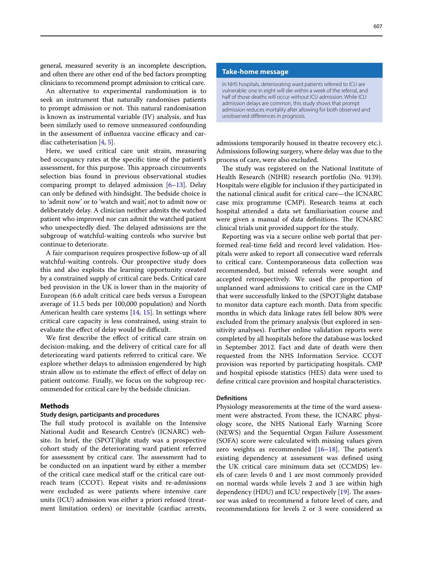general, measured severity is an incomplete description, and often there are other end of the bed factors prompting clinicians to recommend prompt admission to critical care.

An alternative to experimental randomisation is to seek an instrument that naturally randomises patients to prompt admission or not. This natural randomisation is known as instrumental variable (IV) analysis, and has been similarly used to remove unmeasured confounding in the assessment of influenza vaccine efficacy and cardiac catheterisation [\[4](#page-8-3), [5\]](#page-8-4).

Here, we used critical care unit strain, measuring bed occupancy rates at the specifc time of the patient's assessment, for this purpose. This approach circumvents selection bias found in previous observational studies comparing prompt to delayed admission [\[6–](#page-8-5)[13\]](#page-8-6). Delay can only be defined with hindsight. The bedside choice is to 'admit now' or to 'watch and wait', not to admit now or deliberately delay. A clinician neither admits the watched patient who improved nor can admit the watched patient who unexpectedly died. The delayed admissions are the subgroup of watchful-waiting controls who survive but continue to deteriorate.

A fair comparison requires prospective follow-up of all watchful-waiting controls. Our prospective study does this and also exploits the learning opportunity created by a constrained supply of critical care beds. Critical care bed provision in the UK is lower than in the majority of European (6.6 adult critical care beds versus a European average of 11.5 beds per 100,000 population) and North American health care systems [[14](#page-8-7), [15](#page-8-8)]. In settings where critical care capacity is less constrained, using strain to evaluate the effect of delay would be difficult.

We frst describe the efect of critical care strain on decision-making, and the delivery of critical care for all deteriorating ward patients referred to critical care. We explore whether delays to admission engendered by high strain allow us to estimate the efect of efect of delay on patient outcome. Finally, we focus on the subgroup recommended for critical care by the bedside clinician.

## **Methods**

## **Study design, participants and procedures**

The full study protocol is available on the Intensive National Audit and Research Centre's (ICNARC) website. In brief, the (SPOT)light study was a prospective cohort study of the deteriorating ward patient referred for assessment by critical care. The assessment had to be conducted on an inpatient ward by either a member of the critical care medical staf or the critical care outreach team (CCOT). Repeat visits and re-admissions were excluded as were patients where intensive care units (ICU) admission was either a priori refused (treatment limitation orders) or inevitable (cardiac arrests,

## **Take‑home message**

In NHS hospitals, deteriorating ward patients referred to ICU are vulnerable: one in eight will die within a week of the referral, and half of those deaths will occur without ICU admission. While ICU admission delays are common, this study shows that prompt admission reduces mortality after allowing for both observed and unobserved diferences in prognosis.

admissions temporarily housed in theatre recovery etc.). Admissions following surgery, where delay was due to the process of care, were also excluded.

The study was registered on the National Institute of Health Research (NIHR) research portfolio (No. 9139). Hospitals were eligible for inclusion if they participated in the national clinical audit for critical care—the ICNARC case mix programme (CMP). Research teams at each hospital attended a data set familiarisation course and were given a manual of data definitions. The ICNARC clinical trials unit provided support for the study.

Reporting was via a secure online web portal that performed real-time feld and record level validation. Hospitals were asked to report all consecutive ward referrals to critical care. Contemporaneous data collection was recommended, but missed referrals were sought and accepted retrospectively. We used the proportion of unplanned ward admissions to critical care in the CMP that were successfully linked to the (SPOT)light database to monitor data capture each month. Data from specifc months in which data linkage rates fell below 80% were excluded from the primary analysis (but explored in sensitivity analyses). Further online validation reports were completed by all hospitals before the database was locked in September 2012. Fact and date of death were then requested from the NHS Information Service. CCOT provision was reported by participating hospitals. CMP and hospital episode statistics (HES) data were used to defne critical care provision and hospital characteristics.

## **Defnitions**

Physiology measurements at the time of the ward assessment were abstracted. From these, the ICNARC physiology score, the NHS National Early Warning Score (NEWS) and the Sequential Organ Failure Assessment (SOFA) score were calculated with missing values given zero weights as recommended  $[16–18]$  $[16–18]$  $[16–18]$ . The patient's existing dependency at assessment was defned using the UK critical care minimum data set (CCMDS) levels of care: levels 0 and 1 are most commonly provided on normal wards while levels 2 and 3 are within high dependency (HDU) and ICU respectively  $[19]$  $[19]$ . The assessor was asked to recommend a future level of care, and recommendations for levels 2 or 3 were considered as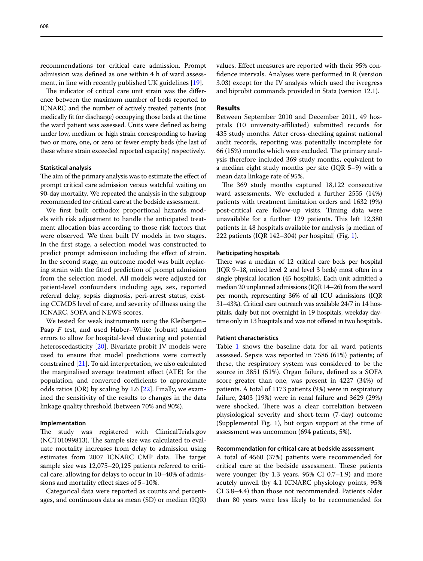recommendations for critical care admission. Prompt admission was defned as one within 4 h of ward assessment, in line with recently published UK guidelines [\[19](#page-8-11)].

The indicator of critical care unit strain was the difference between the maximum number of beds reported to ICNARC and the number of actively treated patients (not medically ft for discharge) occupying those beds at the time the ward patient was assessed. Units were defned as being under low, medium or high strain corresponding to having two or more, one, or zero or fewer empty beds (the last of these where strain exceeded reported capacity) respectively.

## **Statistical analysis**

The aim of the primary analysis was to estimate the effect of prompt critical care admission versus watchful waiting on 90-day mortality. We repeated the analysis in the subgroup recommended for critical care at the bedside assessment.

We frst built orthodox proportional hazards models with risk adjustment to handle the anticipated treatment allocation bias according to those risk factors that were observed. We then built IV models in two stages. In the frst stage, a selection model was constructed to predict prompt admission including the efect of strain. In the second stage, an outcome model was built replacing strain with the ftted prediction of prompt admission from the selection model. All models were adjusted for patient-level confounders including age, sex, reported referral delay, sepsis diagnosis, peri-arrest status, existing CCMDS level of care, and severity of illness using the ICNARC, SOFA and NEWS scores.

We tested for weak instruments using the Kleibergen– Paap *F* test, and used Huber–White (robust) standard errors to allow for hospital-level clustering and potential heteroscedasticity [\[20\]](#page-8-12). Bivariate probit IV models were used to ensure that model predictions were correctly constrained [\[21](#page-8-13)]. To aid interpretation, we also calculated the marginalised average treatment efect (ATE) for the population, and converted coefficients to approximate odds ratios (OR) by scaling by 1.6  $[22]$  $[22]$ . Finally, we examined the sensitivity of the results to changes in the data linkage quality threshold (between 70% and 90%).

#### **Implementation**

The study was registered with ClinicalTrials.gov (NCT01099813). The sample size was calculated to evaluate mortality increases from delay to admission using estimates from 2007 ICNARC CMP data. The target sample size was 12,075–20,125 patients referred to critical care, allowing for delays to occur in 10–40% of admissions and mortality efect sizes of 5–10%.

Categorical data were reported as counts and percentages, and continuous data as mean (SD) or median (IQR) values. Efect measures are reported with their 95% confdence intervals. Analyses were performed in R (version 3.03) except for the IV analysis which used the ivregress and biprobit commands provided in Stata (version 12.1).

# **Results**

Between September 2010 and December 2011, 49 hospitals (10 university-afliated) submitted records for 435 study months. After cross-checking against national audit records, reporting was potentially incomplete for 66 (15%) months which were excluded. The primary analysis therefore included 369 study months, equivalent to a median eight study months per site (IQR 5–9) with a mean data linkage rate of 95%.

The 369 study months captured 18,122 consecutive ward assessments. We excluded a further 2555 (14%) patients with treatment limitation orders and 1632 (9%) post-critical care follow-up visits. Timing data were unavailable for a further 129 patients. This left 12,380 patients in 48 hospitals available for analysis [a median of 222 patients (IQR 142–304) per hospital] (Fig. [1\)](#page-3-0).

#### **Participating hospitals**

There was a median of 12 critical care beds per hospital (IQR 9–18, mixed level 2 and level 3 beds) most often in a single physical location (45 hospitals). Each unit admitted a median 20 unplanned admissions (IQR 14–26) from the ward per month, representing 36% of all ICU admissions (IQR 31–43%). Critical care outreach was available 24/7 in 14 hospitals, daily but not overnight in 19 hospitals, weekday daytime only in 13 hospitals and was not offered in two hospitals.

### **Patient characteristics**

Table [1](#page-4-0) shows the baseline data for all ward patients assessed. Sepsis was reported in 7586 (61%) patients; of these, the respiratory system was considered to be the source in 3851 (51%). Organ failure, defned as a SOFA score greater than one, was present in 4227 (34%) of patients. A total of 1173 patients (9%) were in respiratory failure, 2403 (19%) were in renal failure and 3629 (29%) were shocked. There was a clear correlation between physiological severity and short-term (7-day) outcome (Supplemental Fig. 1), but organ support at the time of assessment was uncommon (694 patients, 5%).

# **Recommendation for critical care at bedside assessment**

A total of 4560 (37%) patients were recommended for critical care at the bedside assessment. These patients were younger (by 1.3 years, 95% CI 0.7–1.9) and more acutely unwell (by 4.1 ICNARC physiology points, 95% CI 3.8–4.4) than those not recommended. Patients older than 80 years were less likely to be recommended for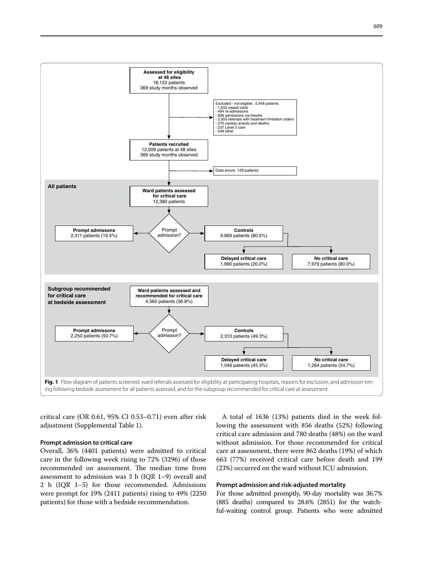



**Assessed for eligibility at 48 sites**

<span id="page-3-0"></span>critical care (OR 0.61, 95% CI 0.53–0.71) even after risk adjustment (Supplemental Table 1).

# **Prompt admission to critical care**

Overall, 36% (4401 patients) were admitted to critical care in the following week rising to 72% (3296) of those recommended on assessment. The median time from assessment to admission was 3 h (IQR 1–9) overall and 2 h (IQR 1–5) for those recommended. Admissions were prompt for 19% (2411 patients) rising to 49% (2250 patients) for those with a bedside recommendation.

A total of 1636 (13%) patients died in the week following the assessment with 856 deaths (52%) following critical care admission and 780 deaths (48%) on the ward without admission. For those recommended for critical care at assessment, there were 862 deaths (19%) of which 663 (77%) received critical care before death and 199 (23%) occurred on the ward without ICU admission.

## **Prompt admission and risk‑adjusted mortality**

For those admitted promptly, 90-day mortality was 36.7% (885 deaths) compared to 28.6% (2851) for the watchful-waiting control group. Patients who were admitted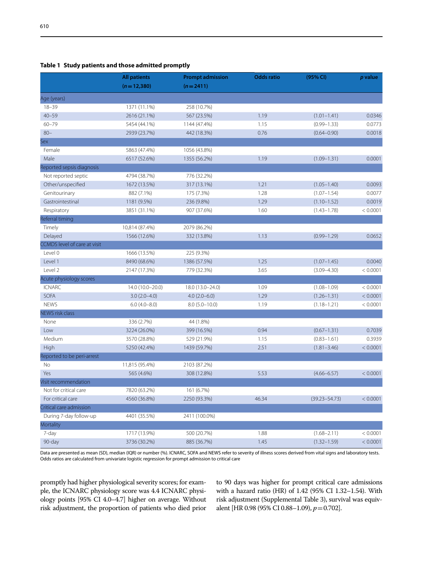|                              | <b>All patients</b><br>$(n=12,380)$ | <b>Prompt admission</b><br>$(n=2411)$ | <b>Odds ratio</b> | (95% CI)          | p value  |
|------------------------------|-------------------------------------|---------------------------------------|-------------------|-------------------|----------|
| Age (years)                  |                                     |                                       |                   |                   |          |
| $18 - 39$                    | 1371 (11.1%)                        | 258 (10.7%)                           |                   |                   |          |
| $40 - 59$                    | 2616 (21.1%)                        | 567 (23.5%)                           | 1.19              | $(1.01 - 1.41)$   | 0.0346   |
| $60 - 79$                    | 5454 (44.1%)                        | 1144 (47.4%)                          | 1.15              | $(0.99 - 1.33)$   | 0.0773   |
| $80 -$                       | 2939 (23.7%)                        | 442 (18.3%)                           | 0.76              | $(0.64 - 0.90)$   | 0.0018   |
| Sex                          |                                     |                                       |                   |                   |          |
| Female                       | 5863 (47.4%)                        | 1056 (43.8%)                          |                   |                   |          |
| Male                         | 6517 (52.6%)                        | 1355 (56.2%)                          | 1.19              | $(1.09 - 1.31)$   | 0.0001   |
| Reported sepsis diagnosis    |                                     |                                       |                   |                   |          |
| Not reported septic          | 4794 (38.7%)                        | 776 (32.2%)                           |                   |                   |          |
| Other/unspecified            | 1672 (13.5%)                        | 317 (13.1%)                           | 1.21              | $(1.05 - 1.40)$   | 0.0093   |
| Genitourinary                | 882 (7.1%)                          | 175 (7.3%)                            | 1.28              | $(1.07 - 1.54)$   | 0.0077   |
| Gastrointestinal             | 1181 (9.5%)                         | 236 (9.8%)                            | 1.29              | $(1.10 - 1.52)$   | 0.0019   |
| Respiratory                  | 3851 (31.1%)                        | 907 (37.6%)                           | 1.60              | $(1.43 - 1.78)$   | < 0.0001 |
| Referral timing              |                                     |                                       |                   |                   |          |
| Timely                       | 10,814 (87.4%)                      | 2079 (86.2%)                          |                   |                   |          |
| Delayed                      | 1566 (12.6%)                        | 332 (13.8%)                           | 1.13              | $(0.99 - 1.29)$   | 0.0652   |
| CCMDS level of care at visit |                                     |                                       |                   |                   |          |
| Level 0                      | 1666 (13.5%)                        | 225 (9.3%)                            |                   |                   |          |
| Level 1                      | 8490 (68.6%)                        | 1386 (57.5%)                          | 1.25              | $(1.07 - 1.45)$   | 0.0040   |
| Level 2                      | 2147 (17.3%)                        | 779 (32.3%)                           | 3.65              | $(3.09 - 4.30)$   | < 0.0001 |
| Acute physiology scores      |                                     |                                       |                   |                   |          |
| <b>ICNARC</b>                | 14.0 (10.0-20.0)                    | 18.0 (13.0 - 24.0)                    | 1.09              | $(1.08 - 1.09)$   | < 0.0001 |
| SOFA                         | $3.0(2.0-4.0)$                      | $4.0(2.0-6.0)$                        | 1.29              | $(1.26 - 1.31)$   | < 0.0001 |
| <b>NEWS</b>                  | $6.0(4.0 - 8.0)$                    | $8.0(5.0 - 10.0)$                     | 1.19              | $(1.18 - 1.21)$   | < 0.0001 |
| NEWS risk class              |                                     |                                       |                   |                   |          |
| None                         | 336 (2.7%)                          | 44 (1.8%)                             |                   |                   |          |
| Low                          | 3224 (26.0%)                        | 399 (16.5%)                           | 0.94              | $(0.67 - 1.31)$   | 0.7039   |
| Medium                       | 3570 (28.8%)                        | 529 (21.9%)                           | 1.15              | $(0.83 - 1.61)$   | 0.3939   |
| High                         | 5250 (42.4%)                        | 1439 (59.7%)                          | 2.51              | $(1.81 - 3.46)$   | < 0.0001 |
| Reported to be peri-arrest   |                                     |                                       |                   |                   |          |
| No                           | 11,815 (95.4%)                      | 2103 (87.2%)                          |                   |                   |          |
| Yes                          | 565 (4.6%)                          | 308 (12.8%)                           | 5.53              | $(4.66 - 6.57)$   | < 0.0001 |
| Visit recommendation         |                                     |                                       |                   |                   |          |
| Not for critical care        | 7820 (63.2%)                        | 161 (6.7%)                            |                   |                   |          |
| For critical care            | 4560 (36.8%)                        | 2250 (93.3%)                          | 46.34             | $(39.23 - 54.73)$ | < 0.0001 |
| Critical care admission      |                                     |                                       |                   |                   |          |
| During 7-day follow-up       | 4401 (35.5%)                        | 2411 (100.0%)                         |                   |                   |          |
| Mortality                    |                                     |                                       |                   |                   |          |
| 7-day                        | 1717 (13.9%)                        | 500 (20.7%)                           | 1.88              | $(1.68 - 2.11)$   | < 0.0001 |
| 90-day                       | 3736 (30.2%)                        | 885 (36.7%)                           | 1.45              | $(1.32 - 1.59)$   | < 0.0001 |
|                              |                                     |                                       |                   |                   |          |

# <span id="page-4-0"></span>**Table 1 Study patients and those admitted promptly**

Data are presented as mean (SD), median (IQR) or number (%). ICNARC, SOFA and NEWS refer to severity of illness scores derived from vital signs and laboratory tests. Odds ratios are calculated from univariate logistic regression for prompt admission to critical care

promptly had higher physiological severity scores; for example, the ICNARC physiology score was 4.4 ICNARC physiology points [95% CI 4.0–4.7] higher on average. Without risk adjustment, the proportion of patients who died prior to 90 days was higher for prompt critical care admissions with a hazard ratio (HR) of 1.42 (95% CI 1.32–1.54). With risk adjustment (Supplemental Table 3), survival was equivalent [HR 0.98 (95% CI 0.88–1.09), *p*=0.702].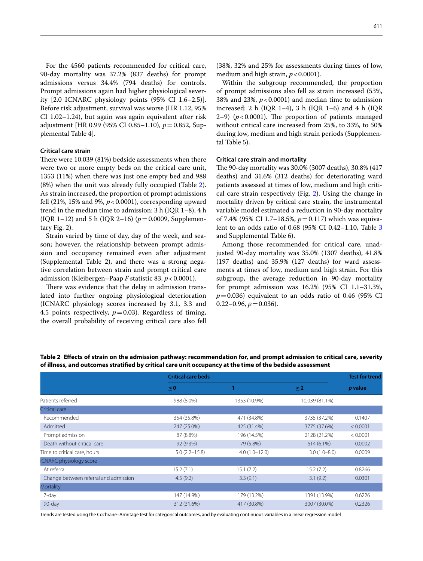For the 4560 patients recommended for critical care, 90-day mortality was 37.2% (837 deaths) for prompt admissions versus 34.4% (794 deaths) for controls. Prompt admissions again had higher physiological severity [2.0 ICNARC physiology points (95% CI 1.6–2.5)]. Before risk adjustment, survival was worse (HR 1.12, 95% CI 1.02–1.24), but again was again equivalent after risk adjustment [HR 0.99 (95% CI 0.85–1.10), *p*=0.852, Supplemental Table 4].

## **Critical care strain**

There were  $10,039$  (81%) bedside assessments when there were two or more empty beds on the critical care unit, 1353 (11%) when there was just one empty bed and 988 (8%) when the unit was already fully occupied (Table [2](#page-5-0)). As strain increased, the proportion of prompt admissions fell (21%, 15% and 9%, *p*<0.0001), corresponding upward trend in the median time to admission: 3 h (IQR 1–8), 4 h (IQR 1–12) and 5 h (IQR 2–16) ( $p = 0.0009$ , Supplementary Fig. 2).

Strain varied by time of day, day of the week, and season; however, the relationship between prompt admission and occupancy remained even after adjustment (Supplemental Table 2), and there was a strong negative correlation between strain and prompt critical care admission (Kleibergen–Paap *F* statistic 83, *p*<0.0001).

There was evidence that the delay in admission translated into further ongoing physiological deterioration (ICNARC physiology scores increased by 3.1, 3.3 and 4.5 points respectively,  $p=0.03$ ). Regardless of timing, the overall probability of receiving critical care also fell

(38%, 32% and 25% for assessments during times of low, medium and high strain,  $p < 0.0001$ ).

Within the subgroup recommended, the proportion of prompt admissions also fell as strain increased (53%, 38% and 23%,  $p < 0.0001$ ) and median time to admission increased: 2  $h$  (IQR 1–4), 3  $h$  (IQR 1–6) and 4  $h$  (IQR  $(2-9)$  ( $p < 0.0001$ ). The proportion of patients managed without critical care increased from 25%, to 33%, to 50% during low, medium and high strain periods (Supplemental Table 5).

#### **Critical care strain and mortality**

The 90-day mortality was 30.0% (3007 deaths), 30.8% (417 deaths) and 31.6% (312 deaths) for deteriorating ward patients assessed at times of low, medium and high critical care strain respectively (Fig. [2\)](#page-6-0). Using the change in mortality driven by critical care strain, the instrumental variable model estimated a reduction in 90-day mortality of 7.4% (95% CI 1.7–18.5%, *p*=0.117) which was equivalent to an odds ratio of 0.68 (95% CI 0.42–1.10, Table [3](#page-7-0) and Supplemental Table 6).

Among those recommended for critical care, unadjusted 90-day mortality was 35.0% (1307 deaths), 41.8% (197 deaths) and 35.9% (127 deaths) for ward assessments at times of low, medium and high strain. For this subgroup, the average reduction in 90-day mortality for prompt admission was 16.2% (95% CI 1.1–31.3%,  $p=0.036$ ) equivalent to an odds ratio of 0.46 (95% CI  $0.22 - 0.96$ ,  $p = 0.036$ ).

|                                       | <b>Critical care beds</b> |                 |                  | <b>Test for trend</b> |
|---------------------------------------|---------------------------|-----------------|------------------|-----------------------|
|                                       | $\leq 0$                  |                 | $\geq$ 2         | p value               |
| Patients referred                     | 988 (8.0%)                | 1353 (10.9%)    | 10,039 (81.1%)   |                       |
| Critical care                         |                           |                 |                  |                       |
| Recommended                           | 354 (35.8%)               | 471 (34.8%)     | 3735 (37.2%)     | 0.1407                |
| Admitted                              | 247 (25.0%)               | 425 (31.4%)     | 3775 (37.6%)     | < 0.0001              |
| Prompt admission                      | 87 (8.8%)                 | 196 (14.5%)     | 2128 (21.2%)     | < 0.0001              |
| Death without critical care           | 92 (9.3%)                 | 79 (5.8%)       | $614(6.1\%)$     | 0.0002                |
| Time to critical care, hours          | $5.0(2.2 - 15.8)$         | $4.0(1.0-12.0)$ | $3.0(1.0 - 8.0)$ | 0.0009                |
| <b>ICNARC</b> physiology score        |                           |                 |                  |                       |
| At referral                           | 15.2(7.1)                 | 15.1(7.2)       | 15.2(7.2)        | 0.8266                |
| Change between referral and admission | 4.5(9.2)                  | 3.3(9.1)        | 3.1(9.2)         | 0.0301                |
| Mortality                             |                           |                 |                  |                       |
| 7-day                                 | 147 (14.9%)               | 179 (13.2%)     | 1391 (13.9%)     | 0.6226                |
| 90-day                                | 312 (31.6%)               | 417 (30.8%)     | 3007 (30.0%)     | 0.2326                |

<span id="page-5-0"></span>**Table 2 Efects of strain on the admission pathway: recommendation for, and prompt admission to critical care, severity of illness, and outcomes stratifed by critical care unit occupancy at the time of the bedside assessment**

Trends are tested using the Cochrane–Armitage test for categorical outcomes, and by evaluating continuous variables in a linear regression model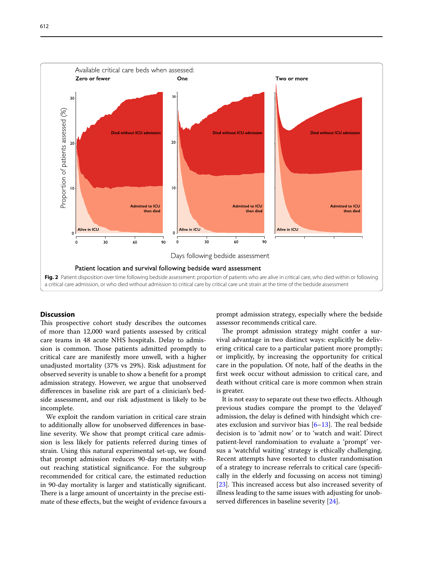

# <span id="page-6-0"></span>**Discussion**

This prospective cohort study describes the outcomes of more than 12,000 ward patients assessed by critical care teams in 48 acute NHS hospitals. Delay to admission is common. Those patients admitted promptly to critical care are manifestly more unwell, with a higher unadjusted mortality (37% vs 29%). Risk adjustment for observed severity is unable to show a beneft for a prompt admission strategy. However, we argue that unobserved diferences in baseline risk are part of a clinician's bedside assessment, and our risk adjustment is likely to be incomplete.

We exploit the random variation in critical care strain to additionally allow for unobserved diferences in baseline severity. We show that prompt critical care admission is less likely for patients referred during times of strain. Using this natural experimental set-up, we found that prompt admission reduces 90-day mortality without reaching statistical signifcance. For the subgroup recommended for critical care, the estimated reduction in 90-day mortality is larger and statistically signifcant. There is a large amount of uncertainty in the precise estimate of these efects, but the weight of evidence favours a prompt admission strategy, especially where the bedside assessor recommends critical care.

The prompt admission strategy might confer a survival advantage in two distinct ways: explicitly be delivering critical care to a particular patient more promptly; or implicitly, by increasing the opportunity for critical care in the population. Of note, half of the deaths in the frst week occur without admission to critical care, and death without critical care is more common when strain is greater.

It is not easy to separate out these two efects. Although previous studies compare the prompt to the 'delayed' admission, the delay is defned with hindsight which creates exclusion and survivor bias  $[6-13]$  $[6-13]$ . The real bedside decision is to 'admit now' or to 'watch and wait'. Direct patient-level randomisation to evaluate a 'prompt' versus a 'watchful waiting' strategy is ethically challenging. Recent attempts have resorted to cluster randomisation of a strategy to increase referrals to critical care (specifcally in the elderly and focussing on access not timing) [[23\]](#page-9-1). This increased access but also increased severity of illness leading to the same issues with adjusting for unob-served differences in baseline severity [\[24](#page-9-2)].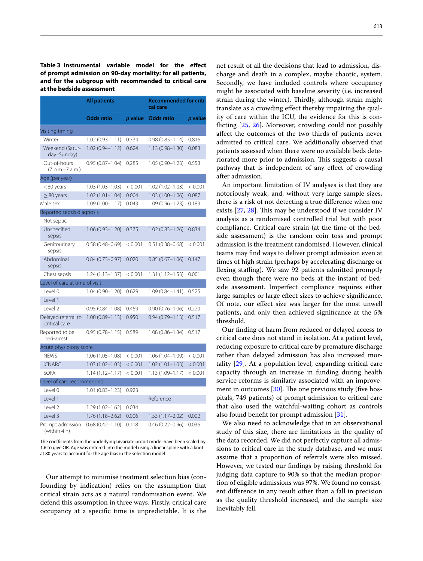<span id="page-7-0"></span>

|                                                            | Table 3 Instrumental variable model for the effect     |  |  |  |  |  |  |
|------------------------------------------------------------|--------------------------------------------------------|--|--|--|--|--|--|
| of prompt admission on 90-day mortality: for all patients, |                                                        |  |  |  |  |  |  |
|                                                            | and for the subgroup with recommended to critical care |  |  |  |  |  |  |
|                                                            | at the bedside assessment                              |  |  |  |  |  |  |

|                                      | <b>All patients</b> |         | <b>Recommended for criti-</b><br>cal care |         |  |
|--------------------------------------|---------------------|---------|-------------------------------------------|---------|--|
|                                      | <b>Odds ratio</b>   | p value | <b>Odds ratio</b>                         | p value |  |
| Visiting timing                      |                     |         |                                           |         |  |
| Winter                               | $1.02(0.93 - 1.11)$ | 0.734   | $0.98(0.85 - 1.14)$                       | 0.816   |  |
| Weekend (Satur-<br>day-Sunday)       | $1.02(0.94 - 1.12)$ | 0.624   | $1.13(0.98 - 1.30)$                       | 0.083   |  |
| Out-of-hours<br>(7 p.m. - 7 a.m.)    | $0.95(0.87 - 1.04)$ | 0.285   | 1.05 (0.90-1.23)                          | 0.553   |  |
| Age (per year)                       |                     |         |                                           |         |  |
| <80 years                            | $1.03(1.03 - 1.03)$ | < 0.001 | $1.02(1.02 - 1.03)$                       | < 0.001 |  |
| $\geq$ 80 years                      | $1.02(1.01 - 1.04)$ | 0.004   | $1.03(1.00 - 1.06)$                       | 0.087   |  |
| Male sex                             | $1.09(1.00 - 1.17)$ | 0.043   | 1.09 (0.96-1.23)                          | 0.183   |  |
| Reported sepsis diagnosis            |                     |         |                                           |         |  |
| Not septic                           |                     |         |                                           |         |  |
| Unspecified<br>sepsis                | $1.06(0.93 - 1.20)$ | 0.375   | $1.02(0.83 - 1.26)$                       | 0.834   |  |
| Genitourinary<br>sepsis              | $0.58(0.48 - 0.69)$ | < 0.001 | $0.51(0.38 - 0.68)$                       | < 0.001 |  |
| Abdominal<br>sepsis                  | $0.84(0.73 - 0.97)$ | 0.020   | $0.85(0.67 - 1.06)$                       | 0.147   |  |
| Chest sepsis                         | $1.24(1.13 - 1.37)$ | < 0.001 | $1.31(1.12 - 1.53)$                       | 0.001   |  |
| Level of care at time of visit       |                     |         |                                           |         |  |
| Level 0                              | $1.04(0.90 - 1.20)$ | 0.629   | $1.09(0.84 - 1.41)$                       | 0.525   |  |
| Level 1                              |                     |         |                                           |         |  |
| Level <sub>2</sub>                   | $0.95(0.84 - 1.08)$ | 0.469   | $0.90(0.76 - 1.06)$                       | 0.220   |  |
| Delayed referral to<br>critical care | $1.00(0.89 - 1.13)$ | 0.950   | $0.94(0.79 - 1.13)$                       | 0.517   |  |
| Reported to be<br>peri-arrest        | $0.95(0.78 - 1.15)$ | 0.589   | 1.08 (0.86-1.34)                          | 0.517   |  |
| Acute physiology score               |                     |         |                                           |         |  |
| <b>NEWS</b>                          | $1.06(1.05 - 1.08)$ | < 0.001 | 1.06 (1.04-1.09)                          | < 0.001 |  |
| <b>ICNARC</b>                        | $1.03(1.02 - 1.03)$ | < 0.001 | $1.02(1.01 - 1.03)$                       | < 0.001 |  |
| SOFA                                 | $1.14(1.12 - 1.17)$ | < 0.001 | $1.13(1.09 - 1.17)$                       | < 0.001 |  |
| Level of care recommended            |                     |         |                                           |         |  |
| Level 0                              | $1.01(0.83 - 1.23)$ | 0.923   |                                           |         |  |
| Level 1                              |                     |         | Reference                                 |         |  |
| Level 2                              | 1.29 (1.02-1.62)    | 0.034   |                                           |         |  |
| Level 3                              | $1.76(1.18 - 2.62)$ | 0.006   | $1.53(1.17 - 2.02)$                       | 0.002   |  |
| Prompt admission<br>(within 4 h)     | $0.68(0.42 - 1.10)$ | 0.118   | $0.46(0.22 - 0.96)$                       | 0.036   |  |

The coefficients from the underlying bivariate probit model have been scaled by 1.6 to give OR. Age was entered into the model using a linear spline with a knot at 80 years to account for the age bias in the selection model

Our attempt to minimise treatment selection bias (confounding by indication) relies on the assumption that critical strain acts as a natural randomisation event. We defend this assumption in three ways. Firstly, critical care occupancy at a specifc time is unpredictable. It is the

net result of all the decisions that lead to admission, discharge and death in a complex, maybe chaotic, system. Secondly, we have included controls where occupancy might be associated with baseline severity (i.e. increased strain during the winter). Thirdly, although strain might translate as a crowding efect thereby impairing the quality of care within the ICU, the evidence for this is conficting [\[25,](#page-9-3) [26\]](#page-9-4). Moreover, crowding could not possibly afect the outcomes of the two thirds of patients never admitted to critical care. We additionally observed that patients assessed when there were no available beds deteriorated more prior to admission. This suggests a causal pathway that is independent of any efect of crowding after admission.

An important limitation of IV analyses is that they are notoriously weak, and, without very large sample sizes, there is a risk of not detecting a true diference when one exists  $[27, 28]$  $[27, 28]$  $[27, 28]$  $[27, 28]$ . This may be understood if we consider IV analysis as a randomised controlled trial but with poor compliance. Critical care strain (at the time of the bedside assessment) is the random coin toss and prompt admission is the treatment randomised. However, clinical teams may fnd ways to deliver prompt admission even at times of high strain (perhaps by accelerating discharge or flexing staffing). We saw 92 patients admitted promptly even though there were no beds at the instant of bedside assessment. Imperfect compliance requires either large samples or large efect sizes to achieve signifcance. Of note, our efect size was larger for the most unwell patients, and only then achieved signifcance at the 5% threshold.

Our fnding of harm from reduced or delayed access to critical care does not stand in isolation. At a patient level, reducing exposure to critical care by premature discharge rather than delayed admission has also increased mortality [[29\]](#page-9-7). At a population level, expanding critical care capacity through an increase in funding during health service reforms is similarly associated with an improvement in outcomes  $[30]$  $[30]$  $[30]$ . The one previous study (five hospitals, 749 patients) of prompt admission to critical care that also used the watchful-waiting cohort as controls also found beneft for prompt admission [\[31](#page-9-9)].

We also need to acknowledge that in an observational study of this size, there are limitations in the quality of the data recorded. We did not perfectly capture all admissions to critical care in the study database, and we must assume that a proportion of referrals were also missed. However, we tested our fndings by raising threshold for judging data capture to 90% so that the median proportion of eligible admissions was 97%. We found no consistent diference in any result other than a fall in precision as the quality threshold increased, and the sample size inevitably fell.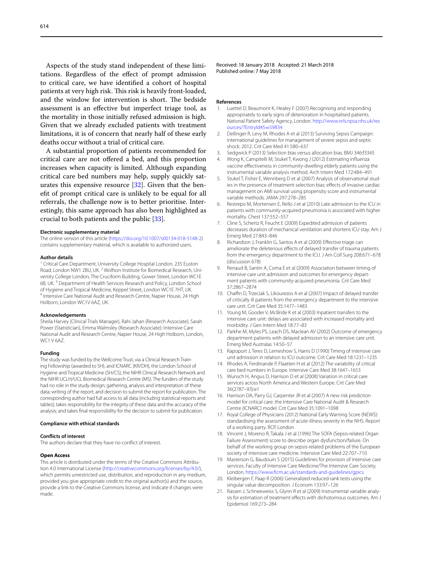Aspects of the study stand independent of these limitations. Regardless of the efect of prompt admission to critical care, we have identifed a cohort of hospital patients at very high risk. This risk is heavily front-loaded, and the window for intervention is short. The bedside assessment is an efective but imperfect triage tool, as the mortality in those initially refused admission is high. Given that we already excluded patients with treatment limitations, it is of concern that nearly half of these early deaths occur without a trial of critical care.

A substantial proportion of patients recommended for critical care are not ofered a bed, and this proportion increases when capacity is limited. Although expanding critical care bed numbers may help, supply quickly saturates this expensive resource [[32\]](#page-9-10). Given that the beneft of prompt critical care is unlikely to be equal for all referrals, the challenge now is to better prioritise. Interestingly, this same approach has also been highlighted as crucial to both patients and the public [\[33](#page-9-11)].

#### **Electronic supplementary material**

The online version of this article ([https://doi.org/10.1007/s00134-018-5148-2\)](https://doi.org/10.1007/s00134-018-5148-2) contains supplementary material, which is available to authorized users.

#### **Author details**

<sup>1</sup> Critical Care Department, University College Hospital London, 235 Euston Road, London NW1 2BU, UK.<sup>2</sup> Wolfson Institute for Biomedical Research, University College London, The Cruciform Building, Gower Street, London WC1E 6B, UK. 3 Department of Health Services Research and Policy, London School of Hygiene and Tropical Medicine, Keppel Street, London WC1E 7HT, UK.<br><sup>4</sup> Intensive Care National Audit and Research Centre, Napier House, 24 High Holborn, London WC1V 6AZ, UK.

#### **Acknowledgements**

Sheila Harvey (Clinical Trials Manager), Rahi Jahan (Research Associate), Sarah Power (Statistician), Emma Walmsley (Research Associate): Intensive Care National Audit and Research Centre, Napier House, 24 High Holborn, London, WC1 V 6AZ.

#### **Funding**

The study was funded by the Wellcome Trust, via a Clinical Research Training Fellowship (awarded to SH), and ICNARC (KR/DH), the London School of Hygiene and Tropical Medicine (SH/CS), the NIHR Clinical Research Network and the NIHR UCLH/UCL Biomedical Research Centre (MS). The funders of the study had no role in the study design; gathering, analysis and interpretation of these data; writing of the report; and decision to submit the report for publication. The corresponding author had full access to all data (including statistical reports and tables); takes responsibility for the integrity of these data and the accuracy of the analysis; and takes fnal responsibility for the decision to submit for publication.

#### **Compliance with ethical standards**

#### **Conflicts of interest**

The authors declare that they have no confict of interest.

#### **Open Access**

This article is distributed under the terms of the Creative Commons Attribution 4.0 International License [\(http://creativecommons.org/licenses/by/4.0/\)](http://creativecommons.org/licenses/by/4.0/), which permits unrestricted use, distribution, and reproduction in any medium, provided you give appropriate credit to the original author(s) and the source, provide a link to the Creative Commons license, and indicate if changes were made.

Received: 18 January 2018 Accepted: 21 March 2018 Published online: 7 May 2018

#### **References**

- <span id="page-8-0"></span>1. Luettel D, Beaumont K, Healey F (2007) Recognising and responding appropriately to early signs of deterioration in hospitalised patients. National Patient Safety Agency, London. [http://www.nrls.npsa.nhs.uk/res](http://www.nrls.npsa.nhs.uk/resources/?EntryId45=59834) [ources/?EntryId45](http://www.nrls.npsa.nhs.uk/resources/?EntryId45=59834)=59834
- <span id="page-8-1"></span>2. Dellinger R, Levy M, Rhodes A et al (2013) Surviving Sepsis Campaign: international guidelines for management of severe sepsis and septic shock: 2012. Crit Care Med 41:580–637
- <span id="page-8-2"></span>3. Sedgwick P (2013) Selection bias versus allocation bias. BMJ 346:f3345
- <span id="page-8-3"></span>4. Wong K, Campitelli M, Stukel T, Kwong J (2012) Estimating infuenza vaccine efectiveness in community-dwelling elderly patients using the instrumental variable analysis method. Arch Intern Med 172:484–491
- <span id="page-8-4"></span>5. Stukel T, Fisher E, Wennberg D et al (2007) Analysis of observational studies in the presence of treatment selection bias: effects of invasive cardiac management on AMI survival using propensity score and instrumental variable methods. JAMA 297:278–285
- <span id="page-8-5"></span>6. Restrepo M, Mortensen E, Rello J et al (2010) Late admission to the ICU in patients with community-acquired pneumonia is associated with higher mortality. Chest 137:552–557
- 7. Cline S, Schertz R, Feucht E (2009) Expedited admission of patients decreases duration of mechanical ventilation and shortens ICU stay. Am J Emerg Med 27:843–846
- 8. Richardson J, Franklin G, Santos A et al (2009) Effective triage can ameliorate the deleterious effects of delayed transfer of trauma patients from the emergency department to the ICU. J Am Coll Surg 208:671–678 (discussion 678)
- 9. Renaud B, Santin A, Coma E et al (2009) Association between timing of intensive care unit admission and outcomes for emergency department patients with community-acquired pneumonia. Crit Care Med 37:2867–2874
- 10. Chalfn D, Trzeciak S, Likourezos A et al (2007) Impact of delayed transfer of critically ill patients from the emergency department to the intensive care unit. Crit Care Med 35:1477–1483
- 11. Young M, Gooder V, McBride K et al (2003) Inpatient transfers to the intensive care unit: delays are associated with increased mortality and morbidity. J Gen Intern Med 18:77–83
- 12. Parkhe M, Myles PS, Leach DS, Maclean AV (2002) Outcome of emergency department patients with delayed admission to an intensive care unit. Emerg Med Australas 14:50–57
- <span id="page-8-6"></span>13. Rapoport J, Teres D, Lemeshow S, Harris D (1990) Timing of intensive care unit admission in relation to ICU outcome. Crit Care Med 18:1231–1235
- <span id="page-8-7"></span>14. Rhodes A, Ferdinande P, Flaatten H et al (2012) The variability of critical care bed numbers in Europe. Intensive Care Med 38:1647–1653
- <span id="page-8-8"></span>15. Wunsch H, Angus D, Harrison D et al (2008) Variation in critical care services across North America and Western Europe. Crit Care Med 36(2787–93):e1
- <span id="page-8-9"></span>16. Harrison DA, Parry GJ, Carpenter JR et al (2007) A new risk prediction model for critical care: the Intensive Care National Audit & Research Centre (ICNARC) model. Crit Care Med 35:1091–1098
- 17. Royal College of Physicians (2012) National Early Warning Score (NEWS): standardising the assessment of acute-illness severity in the NHS. Report of a working party. RCP, London
- <span id="page-8-10"></span>18. Vincent J, Moreno R, Takala J et al (1996) The SOFA (Sepsis-related Organ Failure Assessment) score to describe organ dysfunction/failure. On behalf of the working group on sepsis-related problems of the European society of intensive care medicine. Intensive Care Med 22:707–710
- <span id="page-8-11"></span>19. Masterson G, Baudouin S (2015) Guidelines for provision of intensive care services. Faculty of Intensive Care Medicine/The Intensive Care Society, London. [https://www.fcm.ac.uk/standards-and-guidelines/gpics](https://www.ficm.ac.uk/standards-and-guidelines/gpics)
- <span id="page-8-12"></span>20. Kleibergen F, Paap R (2006) Generalized reduced rank tests using the singular value decomposition. J Econom 133:97–126
- <span id="page-8-13"></span>21. Rassen J, Schneeweiss S, Glynn R et al (2009) Instrumental variable analysis for estimation of treatment effects with dichotomous outcomes. Am J Epidemiol 169:273–284